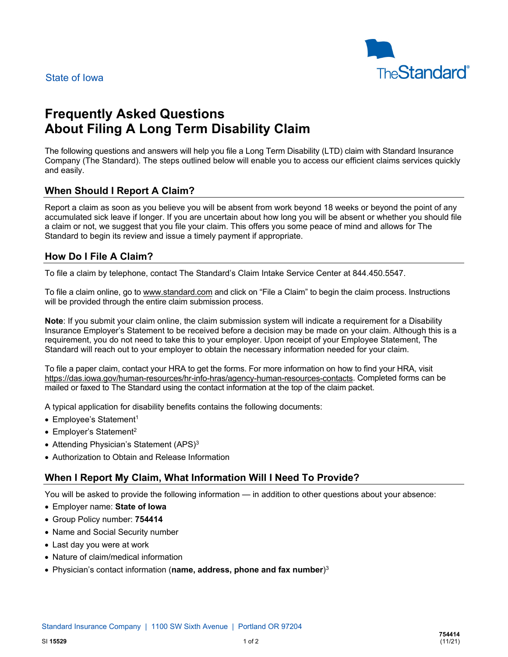

# **Frequently Asked Questions About Filing A Long Term Disability Claim**

The following questions and answers will help you file a Long Term Disability (LTD) claim with Standard Insurance Company (The Standard). The steps outlined below will enable you to access our efficient claims services quickly and easily.

## **When Should I Report A Claim?**

Report a claim as soon as you believe you will be absent from work beyond 18 weeks or beyond the point of any accumulated sick leave if longer. If you are uncertain about how long you will be absent or whether you should file a claim or not, we suggest that you file your claim. This offers you some peace of mind and allows for The Standard to begin its review and issue a timely payment if appropriate.

## **How Do I File A Claim?**

To file a claim by telephone, contact The Standard's Claim Intake Service Center at 844.450.5547.

To file a claim online, go t[o www.standard.com](http://www.standard.com/) and click on "File a Claim" to begin the claim process. Instructions will be provided through the entire claim submission process.

**Note**: If you submit your claim online, the claim submission system will indicate a requirement for a Disability Insurance Employer's Statement to be received before a decision may be made on your claim. Although this is a requirement, you do not need to take this to your employer. Upon receipt of your Employee Statement, The Standard will reach out to your employer to obtain the necessary information needed for your claim.

To file a paper claim, contact your HRA to get the forms. For more information on how to find your HRA, visit [https://das.iowa.gov/human-resources/hr-info-hras/agency-human-resources-contacts.](https://das.iowa.gov/human-resources/hr-info-hras/agency-human-resources-contacts) Completed forms can be mailed or faxed to The Standard using the contact information at the top of the claim packet.

A typical application for disability benefits contains the following documents:

- Employee's Statement<sup>1</sup>
- Employer's Statement<sup>2</sup>
- Attending Physician's Statement (APS)<sup>3</sup>
- Authorization to Obtain and Release Information

#### **When I Report My Claim, What Information Will I Need To Provide?**

You will be asked to provide the following information — in addition to other questions about your absence:

- Employer name: **State of Iowa**
- Group Policy number: **754414**
- Name and Social Security number
- Last day you were at work
- Nature of claim/medical information
- Physician's contact information (**name, address, phone and fax number**) 3